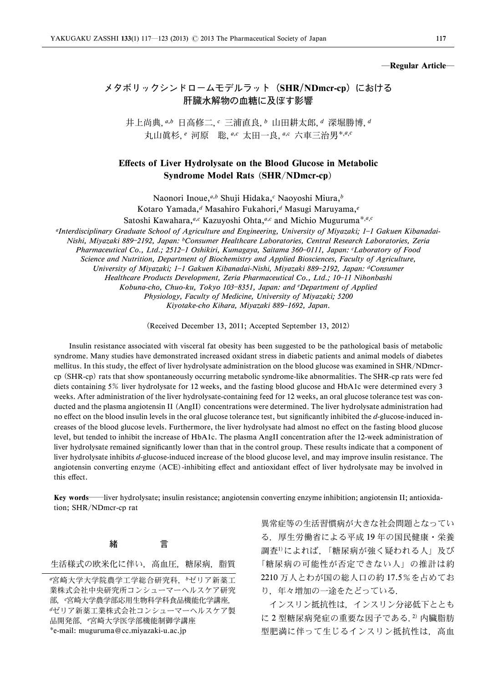#### ―Regular Article―

# メタボリックシンドロームモデルラット(SHR/NDmcr-cp)における 肝臓水解物の血糖に及ぼす影響

井上尚典, a,b 日高修二, c 三浦直良, b 山田耕太郎, d 深堀勝博, d 丸山眞杉,<sup>e</sup> 河原 聡, a,c 太田一良, a,c 六車三治男\*,a,c

## Effects of Liver Hydrolysate on the Blood Glucose in Metabolic Syndrome Model Rats (SHR/NDmcr-cp)

Naonori Inoue, a,b Shuji Hidaka,c Naoyoshi Miura, b Kotaro Yamada,<sup>d</sup> Masahiro Fukahori,<sup>d</sup> Masugi Maruyama,<sup>e</sup> Satoshi Kawahara,<sup>a,c</sup> Kazuyoshi Ohta,<sup>a,c</sup> and Michio Muguruma<sup>\*,a,c</sup>

<sup>a</sup>Interdisciplinary Graduate School of Agriculture and Engineering, University of Miyazaki; 1-1 Gakuen Kibanadai-Nishi, Miyazaki 889-2192, Japan: <sup>b</sup>Consumer Healthcare Laboratories, Central Research Laboratories, Zeria Pharmaceutical Co., Ltd.; 2512-1 Oshikiri, Kumagaya, Saitama 360-0111, Japan: 'Laboratory of Food Science and Nutrition, Department of Biochemistry and Applied Biosciences, Faculty of Agriculture, University of Miyazaki; 1-1 Gakuen Kibanadai-Nishi, Miyazaki 889-2192, Japan: dConsumer Healthcare Products Development, Zeria Pharmaceutical Co., Ltd.; 10-11 Nihonbashi

Kobuna-cho, Chuo-ku, Tokyo 103-8351, Japan: and <sup>e</sup>Department of Applied

Physiology, Faculty of Medicine, University of Miyazaki; 5200

Kiyotake-cho Kihara, Miyazaki 889-1692, Japan.

(Received December 13, 2011; Accepted September 13, 2012)

Insulin resistance associated with visceral fat obesity has been suggested to be the pathological basis of metabolic syndrome. Many studies have demonstrated increased oxidant stress in diabetic patients and animal models of diabetes mellitus. In this study, the effect of liver hydrolysate administration on the blood glucose was examined in SHR/NDmcrcp (SHR-cp) rats that show spontaneously occurring metabolic syndrome-like abnormalities. The SHR-cp rats were fed diets containing 5% liver hydrolysate for 12 weeks, and the fasting blood glucose and HbA1c were determined every 3 weeks. After administration of the liver hydrolysate-containing feed for 12 weeks, an oral glucose tolerance test was conducted and the plasma angiotensin II (AngII) concentrations were determined. The liver hydrolysate administration had no effect on the blood insulin levels in the oral glucose tolerance test, but significantly inhibited the d-glucose-induced increases of the blood glucose levels. Furthermore, the liver hydrolysate had almost no effect on the fasting blood glucose level, but tended to inhibit the increase of HbA1c. The plasma AngII concentration after the 12-week administration of liver hydrolysate remained significantly lower than that in the control group. These results indicate that a component of liver hydrolysate inhibits d-glucose-induced increase of the blood glucose level, and may improve insulin resistance. The angiotensin converting enzyme (ACE)-inhibiting effect and antioxidant effect of liver hydrolysate may be involved in this effect.

Key words—liver hydrolysate; insulin resistance; angiotensin converting enzyme inhibition; angiotensin II; antioxidation; SHR/NDmcr-cp rat

## 緒 言

生活様式の欧米化に伴い、高血圧、糖尿病、脂質

異常症等の生活習慣病が大きな社会問題となってい る.厚生労働省による平成 19 年の国民健康・栄養 調査1)によれば,「糖尿病が強く疑われる人」及び 「糖尿病の可能性が否定できない人」の推計は約 2210 万人とわが国の総人口の約 17.5%を占めてお り,年々増加の一途をたどっている.

インスリン抵抗性は,インスリン分泌低下ととも に2型糖尿病発症の重要な因子である.2) 内臓脂肪 型肥満に伴って生じるインスリン抵抗性は、高血

<sup>a</sup>宮崎大学大学院農学工学総合研究科,bゼリア新薬工 業株式会社中央研究所コンシューマーヘルスケア研究 部,"宮崎大学農学部応用生物科学科食品機能化学講座, <sup>d</sup>ゼリア新薬工業株式会社コンシューマーヘルスケア製 品開発部, "宮崎大学医学部機能制御学講座 e-mail: muguruma@cc.miyazaki-u.ac.jp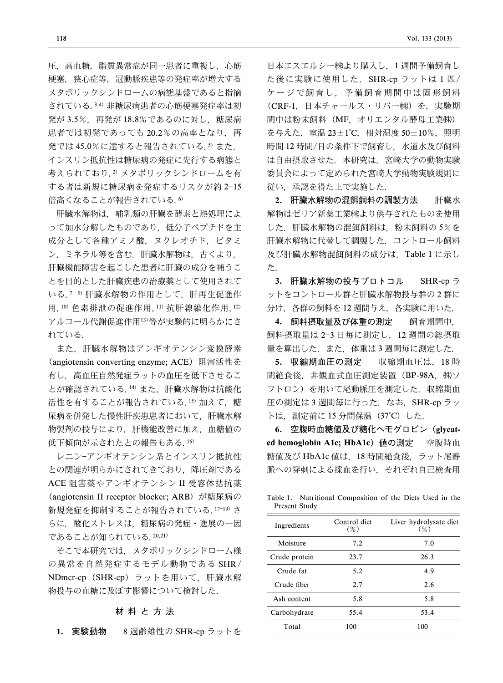圧、高血糖、脂質異常症が同一患者に重複し、心筋 梗塞,狭心症等,冠動脈疾患等の発症率が増大する メタボリックシンドロームの病態基盤であると指摘 されている.3,4) 非糖尿病患者の心筋梗塞発症率は初 発が 3.5%,再発が 18.8%であるのに対し,糖尿病 患者では初発であっても20.2%の高率となり、再 発では 45.0%に達すると報告されている.<sup>5)</sup> また, インスリン抵抗性は糖尿病の発症に先行する病態と 考えられており,2) メタボリックシンドロームを有 する者は新規に糖尿病を発症するリスクが約 2-15 倍高くなることが報告されている.6)

肝臓水解物は,哺乳類の肝臓を酵素と熱処理によ って加水分解したものであり、低分子ペプチドを主 成分として各種アミノ酸,ヌクレオチド,ビタミ ン,ミネラル等を含む.肝臓水解物は,古くより, 肝臓機能障害を起こした患者に肝臓の成分を補うこ とを目的とした肝臓疾患の治療薬として使用されて いる.7-9) 肝臓水解物の作用として、肝再生促進作 用,10) 色素排泄の促進作用,11) 抗肝線維化作用,12) アルコール代謝促進作用13)等が実験的に明らかにさ れている.

また,肝臓水解物はアンギオテンシン変換酵素 (angiotensin converting enzyme; ACE) 阻害活性を 有し,高血圧自然発症ラットの血圧を低下させるこ とが確認されている.14) また,肝臓水解物は抗酸化 活性を有することが報告されている.15) 加えて、糖 尿病を併発した慢性肝疾患患者において,肝臓水解 物製剤の投与により,肝機能改善に加え,血糖値の 低下傾向が示されたとの報告もある.16)

レニン-アンギオテンシン系とインスリン抵抗性 との関連が明らかにされてきており,降圧剤である ACE 阻害薬やアンギオテンシン II 受容体拮抗薬 (angiotensin II receptor blocker; ARB) が糖尿病の 新規発症を抑制することが報告されている. 17-19) さ らに,酸化ストレスは,糖尿病の発症・進展の一因 であることが知られている.20,21)

そこで本研究では,メタボリックシンドローム様 の異常を自然発症するモデル動物である SHR/ NDmcr-cp(SHR-cp)ラットを用いて,肝臓水解 物投与の血糖に及ぼす影響について検討した.

#### 材料と方法

1. 実験動物 8 週齢雄性の SHR-cp ラットを

日本エスエルシー株より購入し,1 週間予備飼育し た後に実験に使用した. SHR-cp ラットは1匹/ ケージで飼育し,予備飼育期間中は固形飼料 (CRF-1, 日本チャールス・リバー㈱)を,実験期 間中は粉末飼料(MF,オリエンタル酵母工業株) を与えた.室温 23±1°C,相対湿度 50±10%,照明 時間 12 時間/日の条件下で飼育し,水道水及び飼料 は自由摂取させた.本研究は,宮崎大学の動物実験 委員会によって定められた宮崎大学動物実験規則に 従い,承認を得た上で実施した.

2. 肝臓水解物の混餌飼料の調製方法 肝臓水 解物はゼリア新薬工業株より供与されたものを使用 した.肝臓水解物の混餌飼料は,粉末飼料の 5%を 肝臓水解物に代替して調製した.コントロール飼料 及び肝臓水解物混餌飼料の成分は,Table 1 に示し た.

3. 肝臓水解物の投与プロトコル SHR-cp ラ ットをコントロール群と肝臓水解物投与群の 2 群に 分け,各群の飼料を 12 週間与え,各実験に用いた.

4. 飼料摂取量及び体重の測定 飼育期間中, 飼料摂取量は 23 日毎に測定し,12 週間の総摂取 量を算出した. また、体重は3週間毎に測定した.

5. 収縮期血圧の測定 収縮期血圧は,18 時 間絶食後, 非観血式血圧測定装置 (BP-98A, ㈱ソ フトロン)を用いて尾動脈圧を測定した.収縮期血 圧の測定は 3 週間毎に行った. なお、SHR-cp ラッ トは. 測定前に 15 分間保温 (37℃) した.

6. 空腹時血糖値及び糖化ヘモグロビン(glycated hemoglobin A1c; HbA1c) 値の測定 空腹時血 糖値及び HbA1c 値は,18 時間絶食後,ラット尾静 脈への穿刺による採血を行い,それぞれ自己検査用

Table 1. Nutritional Composition of the Diets Used in the Present Study

| Ingredients   | Control diet<br>$(\%)$ | Liver hydrolysate diet<br>$(\%)$ |
|---------------|------------------------|----------------------------------|
| Moisture      | 7.2                    | 7.0                              |
| Crude protein | 23.7                   | 26.3                             |
| Crude fat     | 5.2                    | 4.9                              |
| Crude fiber   | 2.7                    | 2.6                              |
| Ash content   | 5.8                    | 5.8                              |
| Carbohydrate  | 55.4                   | 53.4                             |
| Total         | 100                    | 100                              |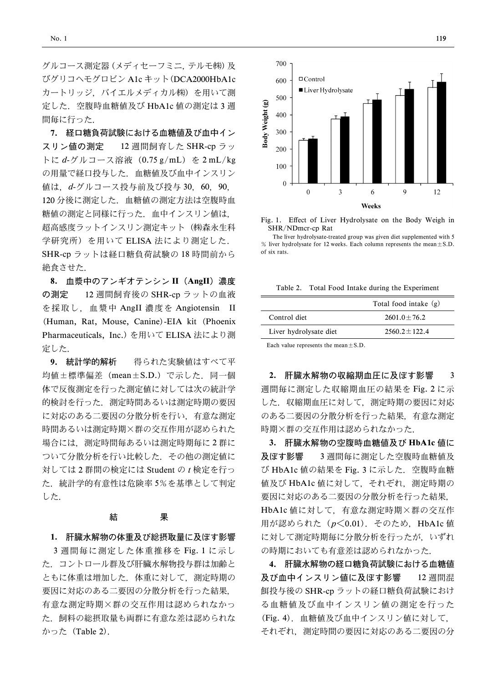グルコース測定器(メディセーフミニ,テルモ㈱)及 びグリコヘモグロビン A1c キット(DCA2000HbA1c カートリッジ,バイエルメディカル株)を用いて測 定した.空腹時血糖値及び HbA1c 値の測定は 3 週 間毎に行った.

7. 経口糖負荷試験における血糖値及び血中イン スリン値の測定 12 週間飼育した SHR-cp ラッ トに d-グルコース溶液 (0.75 g/mL) を 2 mL/kg の用量で経口投与した.血糖値及び血中インスリン 値は,d-グルコース投与前及び投与 30,60,90, 120 分後に測定した.血糖値の測定方法は空腹時血 糖値の測定と同様に行った.血中インスリン値は, 超高感度ラットインスリン測定キット(株森永生科 学研究所)を用いて ELISA 法により測定した. SHR-cp ラットは経口糖負荷試験の 18 時間前から 絶食させた.

8. 血漿中のアンギオテンシン II (AngII)濃度 の測定 12 週間飼育後の SHR-cp ラットの血液 を採取し,血漿中 AngII 濃度を Angiotensin II (Human, Rat, Mouse, Canine)-EIA kit (Phoenix Pharmaceuticals, Inc.) を用いて ELISA 法により測 定した.

9. 統計学的解析 得られた実験値はすべて平 均値±標準偏差 (mean±S.D.) で示した. 同一個 体で反復測定を行った測定値に対しては次の統計学 的検討を行った.測定時間あるいは測定時期の要因 に対応のある二要因の分散分析を行い,有意な測定 時間あるいは測定時期×群の交互作用が認められた 場合には,測定時間毎あるいは測定時期毎に 2 群に ついて分散分析を行い比較した.その他の測定値に 対しては 2 群間の検定には Student の t 検定を行っ た.統計学的有意性は危険率 5%を基準として判定 した.

### 結 果

#### 1. 肝臓水解物の体重及び総摂取量に及ぼす影響

3 週間毎に測定した体重推移を Fig. 1 に示し た.コントロール群及び肝臓水解物投与群は加齢と ともに体重は増加した.体重に対して,測定時期の 要因に対応のある二要因の分散分析を行った結果, 有意な測定時期×群の交互作用は認められなかっ た.飼料の総摂取量も両群に有意な差は認められな かった(Table 2).



Fig. 1. Effect of Liver Hydrolysate on the Body Weigh in SHR/NDmcr-cp Rat

The liver hydrolysate-treated group was given diet supplemented with 5 % liver hydrolysate for 12 weeks. Each column represents the mean $\pm$ S.D. of six rats.

Table 2. Total Food Intake during the Experiment

|                        | Total food intake $(g)$ |
|------------------------|-------------------------|
| Control diet           | $2601.0 + 76.2$         |
| Liver hydrolysate diet | $2560.2 + 122.4$        |
|                        |                         |

Each value represents the mean $\pm$ S.D.

2. 肝臓水解物の収縮期血圧に及ぼす影響 3 週間毎に測定した収縮期血圧の結果を Fig. 2 に示 した. 収縮期血圧に対して、測定時期の要因に対応 のある二要因の分散分析を行った結果,有意な測定 時期×群の交互作用は認められなかった.

3. 肝臓水解物の空腹時血糖値及び HbA1c 値に 及ぼす影響 3 週間毎に測定した空腹時血糖値及 び HbA1c 値の結果を Fig. 3 に示した.空腹時血糖 値及び HbA1c 値に対して,それぞれ,測定時期の 要因に対応のある二要因の分散分析を行った結果, HbA1c 値に対して,有意な測定時期×群の交互作 用が認められた $(p<0.01)$ . そのため, HbA1c 値 に対して測定時期毎に分散分析を行ったが,いずれ の時期においても有意差は認められなかった.

4. 肝臓水解物の経口糖負荷試験における血糖値 及び血中インスリン値に及ぼす影響 12 週間混 餌投与後の SHR-cp ラットの経口糖負荷試験におけ る血糖値及び血中インスリン値の測定を行った (Fig. 4).血糖値及び血中インスリン値に対して, それぞれ,測定時間の要因に対応のある二要因の分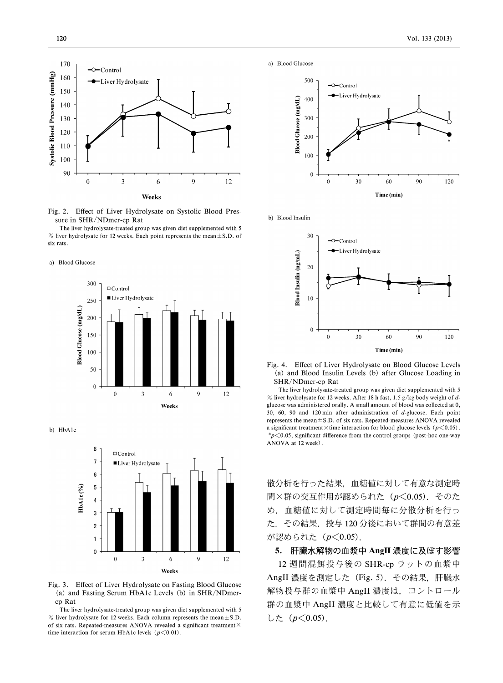

Fig. 2. Effect of Liver Hydrolysate on Systolic Blood Pressure in SHR/NDmcr-cp Rat

The liver hydrolysate-treated group was given diet supplemented with 5 % liver hydrolysate for 12 weeks. Each point represents the mean  $\pm$  S.D. of six rats.

a) Blood Glucose



b) HbA1c



Fig. 3. Effect of Liver Hydrolysate on Fasting Blood Glucose (a) and Fasting Serum HbA1c Levels (b) in SHR/NDmcrcp Rat

The liver hydrolysate-treated group was given diet supplemented with 5 % liver hydrolysate for 12 weeks. Each column represents the mean  $\pm$  S.D. of six rats. Repeated-measures ANOVA revealed a significant treatment $\times$ time interaction for serum HbA1c levels  $(p<0.01)$ .

a) Blood Glucose



b) Blood Insulin



Fig. 4. Effect of Liver Hydrolysate on Blood Glucose Levels (a) and Blood Insulin Levels (b) after Glucose Loading in SHR/NDmcr-cp Rat

The liver hydrolysate-treated group was given diet supplemented with 5 % liver hydrolysate for 12 weeks. After 18 h fast, 1.5 g/kg body weight of  $d$ glucose was administered orally. A small amount of blood was collected at 0, 30, 60, 90 and 120 min after administration of d-glucose. Each point represents the mean±S.D. of six rats. Repeated-measures ANOVA revealed a significant treatment  $\times$  time interaction for blood glucose levels ( $p \le 0.05$ ).  $p$  < 0.05, significant difference from the control groups (post-hoc one-way ANOVA at 12 week).

散分析を行った結果,血糖値に対して有意な測定時 間×群の交互作用が認められた ( $p$ <0.05). そのた め,血糖値に対して測定時間毎に分散分析を行っ た.その結果,投与 120 分後において群間の有意差 が認められた (p<0.05).

### 5. 肝臓水解物の血漿中 AngII 濃度に及ぼす影響

12 週間混餌投与後の SHR-cp ラットの血漿中 AngII 濃度を測定した(Fig. 5).その結果,肝臓水 解物投与群の血漿中 AngII 濃度は,コントロール 群の血漿中 AngII 濃度と比較して有意に低値を示 した $(p<0.05)$ .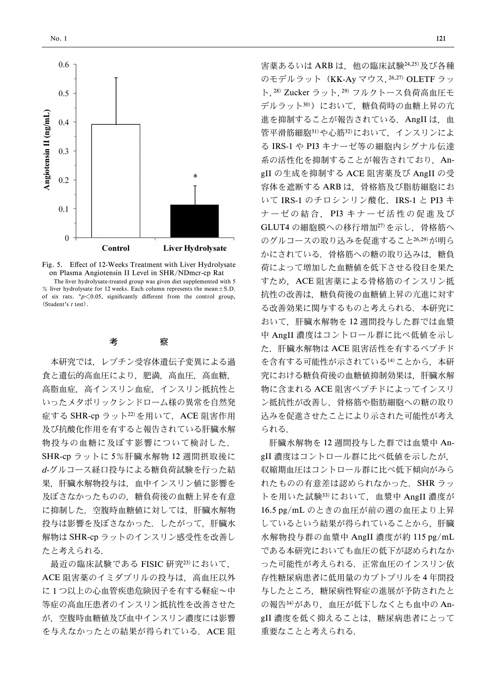

Fig. 5. Effect of 12-Weeks Treatment with Liver Hydrolysate on Plasma Angiotensin II Level in SHR/NDmcr-cp Rat The liver hydrolysate-treated group was given diet supplemented with 5 % liver hydrolysate for 12 weeks. Each column represents the mean $\pm$ S.D. of six rats.  $p \le 0.05$ , significantly different from the control group, (Student's t test).

## 考 察

本研究では,レプチン受容体遺伝子変異による過 食と遺伝的高血圧により,肥満,高血圧,高血糖, 高脂血症,高インスリン血症,インスリン抵抗性と いったメタボリックシンドローム様の異常を自然発 症する SHR-cp ラット22)を用いて、ACE 阻害作用 及び抗酸化作用を有すると報告されている肝臓水解 物投与の血糖に及ぼす影響について検討した. SHR-cp ラットに 5%肝臓水解物 12 週間摂取後に d-グルコース経口投与による糖負荷試験を行った結 果,肝臓水解物投与は,血中インスリン値に影響を 及ぼさなかったものの,糖負荷後の血糖上昇を有意 に抑制した.空腹時血糖値に対しては,肝臓水解物 投与は影響を及ぼさなかった.したがって,肝臓水 解物は SHR-cp ラットのインスリン感受性を改善し たと考えられる.

最近の臨床試験である FISIC 研究23)において, ACE 阻害薬のイミダプリルの投与は,高血圧以外 に 1 つ以上の心血管疾患危険因子を有する軽症~中 等症の高血圧患者のインスリン抵抗性を改善させた が,空腹時血糖値及び血中インスリン濃度には影響 を与えなかったとの結果が得られている. ACE 阻 害薬あるいは ARB は、他の臨床試験24,25)及び各種 のモデルラット(KK-Ay マウス,26,27) OLETF ラッ ト,28) Zucker ラット,29) フルクトース負荷高血圧モ デルラット30)において、糖負荷時の血糖上昇の亢 進を抑制することが報告されている. AngII は、血 管平滑筋細胞31)や心筋32)において、インスリンによ る IRS-1 や PI3 キナーゼ等の細胞内シグナル伝達 系の活性化を抑制することが報告されており, AngII の生成を抑制する ACE 阻害薬及び AngII の受 容体を遮断する ARB は,骨格筋及び脂肪細胞にお いて IRS-1 のチロシンリン酸化, IRS-1 と PI3 キ ナーゼの結合, PI3 キナーゼ活性の促進及び GLUT4 の細胞膜への移行増加27)を示し,骨格筋へ のグルコースの取り込みを促進すること26,29)が明ら かにされている.骨格筋への糖の取り込みは,糖負 荷によって増加した血糖値を低下させる役目を果た すため、ACE 阻害薬による骨格筋のインスリン抵 抗性の改善は,糖負荷後の血糖値上昇の亢進に対す る改善効果に関与するものと考えられる. 本研究に おいて,肝臓水解物を 12 週間投与した群では血漿 中 AngII 濃度はコントロール群に比べ低値を示し た.肝臓水解物は ACE 阻害活性を有するペプチド を含有する可能性が示されている14)ことから、本研 究における糖負荷後の血糖値抑制効果は,肝臓水解 物に含まれる ACE 阻害ペプチドによってインスリ ン抵抗性が改善し,骨格筋や脂肪細胞への糖の取り 込みを促進させたことにより示された可能性が考え られる.

肝臓水解物を 12 週間投与した群では血漿中 AngII 濃度はコントロール群に比べ低値を示したが, 収縮期血圧はコントロール群に比べ低下傾向がみら れたものの有意差は認められなかった. SHR ラッ トを用いた試験33)において,血漿中 AngII 濃度が 16.5 pg/mL のときの血圧が前の週の血圧より上昇 しているという結果が得られていることから,肝臓 水解物投与群の血漿中 AngII 濃度が約 115 pg/mL である本研究においても血圧の低下が認められなか った可能性が考えられる. 正常血圧のインスリン依 存性糖尿病患者に低用量のカプトプリルを 4 年間投 与したところ,糖尿病性腎症の進展が予防されたと の報告34)があり、血圧が低下しなくとも血中の AngII 濃度を低く抑えることは,糖尿病患者にとって 重要なことと考えられる.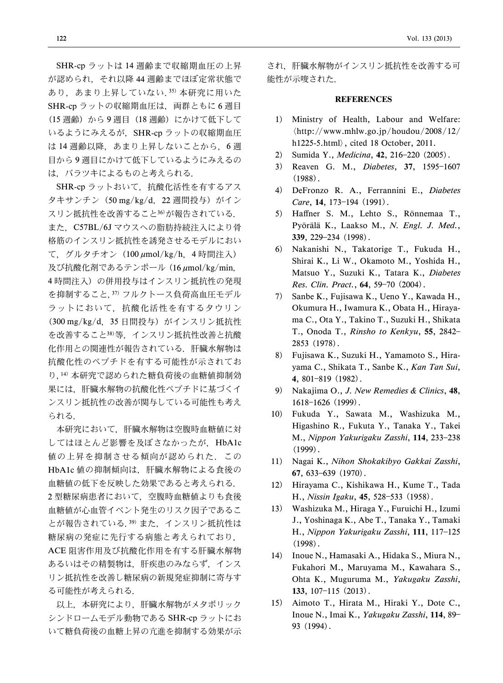SHR-cp ラットは 14 週齢まで収縮期血圧の上昇 が認められ,それ以降 44 週齢までほぼ定常状態で あり、あまり上昇していない. 35) 本研究に用いた SHR-cp ラットの収縮期血圧は、両群ともに6週目 (15 週齢)から9週目 (18 週齢)にかけて低下して いるようにみえるが、SHR-cp ラットの収縮期血圧 は14 週齢以降、あまり上昇しないことから、6週 目から 9 週目にかけて低下しているようにみえるの は,バラツキによるものと考えられる.

SHR-cp ラットおいて、抗酸化活性を有するアス タキサンチン (50 mg/kg/d, 22 週間投与)がイン スリン抵抗性を改善すること36)が報告されている. また、C57BL/6J マウスへの脂肪持続注入により骨 格筋のインスリン抵抗性を誘発させるモデルにおい て、グルタチオン (100 µmol/kg/h, 4 時間注入) 及び抗酸化剤であるテンポール (16 μmol/kg/min, 4 時間注入)の併用投与はインスリン抵抗性の発現 を抑制すること,37) フルクトース負荷高血圧モデル ラットにおいて,抗酸化活性を有するタウリン (300 mg/kg/d, 35 日間投与) がインスリン抵抗性 を改善すること38)等,インスリン抵抗性改善と抗酸 化作用との関連性が報告されている.肝臓水解物は 抗酸化性のペプチドを有する可能性が示されてお り,14) 本研究で認められた糖負荷後の血糖値抑制効 果には,肝臓水解物の抗酸化性ペプチドに基づくイ ンスリン抵抗性の改善が関与している可能性も考え られる.

本研究において,肝臓水解物は空腹時血糖値に対 してはほとんど影響を及ぼさなかったが,HbA1c 値の上昇を抑制させる傾向が認められた.この HbA1c 値の抑制傾向は,肝臓水解物による食後の 血糖値の低下を反映した効果であると考えられる. 2 型糖尿病患者において,空腹時血糖値よりも食後 血糖値が心血管イベント発生のリスク因子であるこ とが報告されている.39) また,インスリン抵抗性は 糖尿病の発症に先行する病態と考えられており, ACE 阻害作用及び抗酸化作用を有する肝臓水解物 あるいはその精製物は,肝疾患のみならず,インス リン抵抗性を改善し糖尿病の新規発症抑制に寄与す る可能性が考えられる.

以上,本研究により,肝臓水解物がメタボリック シンドロームモデル動物である SHR-cp ラットにお いて糖負荷後の血糖上昇の亢進を抑制する効果が示 され,肝臓水解物がインスリン抵抗性を改善する可 能性が示唆された.

### **REFERENCES**

- 1) Ministry of Health, Labour and Welfare: 〈http://www.mhlw.go.jp/houdou/2008/12/ h1225-5.html〉, cited 18 October, 2011.
- 2) Sumida Y., Medicina, 42, 216-220 (2005).
- 3) Reaven G. M., Diabetes, 37, 1595-1607 (1988).
- 4) DeFronzo R. A., Ferrannini E., Diabetes Care, 14, 173-194 (1991).
- 5) Haffner S. M., Lehto S., Rönnemaa T., Pyörälä K., Laakso M., N. Engl. J. Med., 339, 229234 (1998).
- 6) Nakanishi N., Takatorige T., Fukuda H., Shirai K., Li W., Okamoto M., Yoshida H., Matsuo Y., Suzuki K., Tatara K., Diabetes Res. Clin. Pract., 64, 59-70 (2004).
- 7) Sanbe K., Fujisawa K., Ueno Y., Kawada H., Okumura H., Iwamura K., Obata H., Hirayama C., Ota Y., Takino T., Suzuki H., Shikata T., Onoda T., Rinsho to Kenkyu, 55, 2842 2853 (1978).
- 8) Fujisawa K., Suzuki H., Yamamoto S., Hirayama C., Shikata T., Sanbe K., Kan Tan Sui, 4, 801-819 (1982).
- 9) Nakajima O., J. New Remedies & Clinics, 48, 1618-1626 (1999).
- 10) Fukuda Y., Sawata M., Washizuka M., Higashino R., Fukuta Y., Tanaka Y., Takei M., Nippon Yakurigaku Zasshi, 114, 233-238 (1999).
- 11) Nagai K., Nihon Shokakibyo Gakkai Zasshi, 67,  $633-639$  (1970).
- 12) Hirayama C., Kishikawa H., Kume T., Tada H., Nissin Igaku, 45, 528-533 (1958).
- 13) Washizuka M., Hiraga Y., Furuichi H., Izumi J., Yoshinaga K., Abe T., Tanaka Y., Tamaki H., Nippon Yakurigaku Zasshi, 111, 117-125 (1998).
- 14) Inoue N., Hamasaki A., Hidaka S., Miura N., Fukahori M., Maruyama M., Kawahara S., Ohta K., Muguruma M., Yakugaku Zasshi, 133,  $107-115$  (2013).
- 15) Aimoto T., Hirata M., Hiraki Y., Dote C., Inoue N., Imai K., Yakugaku Zasshi, 114, 89 93 (1994).